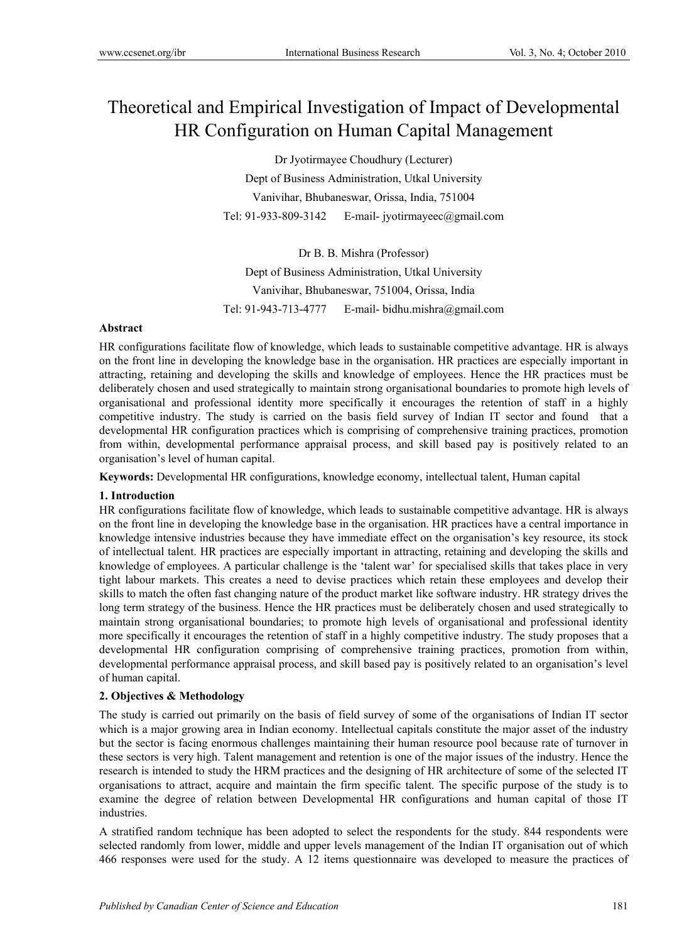# Theoretical and Empirical Investigation of Impact of Developmental HR Configuration on Human Capital Management

Dr Jyotirmayee Choudhury (Lecturer)

Dept of Business Administration, Utkal University Vanivihar, Bhubaneswar, Orissa, India, 751004 Tel: 91-933-809-3142 E-mail- jyotirmayeec@gmail.com

Dr B. B. Mishra (Professor)

Dept of Business Administration, Utkal University Vanivihar, Bhubaneswar, 751004, Orissa, India Tel: 91-943-713-4777 E-mail- bidhu.mishra@gmail.com

## **Abstract**

HR configurations facilitate flow of knowledge, which leads to sustainable competitive advantage. HR is always on the front line in developing the knowledge base in the organisation. HR practices are especially important in attracting, retaining and developing the skills and knowledge of employees. Hence the HR practices must be deliberately chosen and used strategically to maintain strong organisational boundaries to promote high levels of organisational and professional identity more specifically it encourages the retention of staff in a highly competitive industry. The study is carried on the basis field survey of Indian IT sector and found that a developmental HR configuration practices which is comprising of comprehensive training practices, promotion from within, developmental performance appraisal process, and skill based pay is positively related to an organisation's level of human capital.

**Keywords:** Developmental HR configurations, knowledge economy, intellectual talent, Human capital

# **1. Introduction**

HR configurations facilitate flow of knowledge, which leads to sustainable competitive advantage. HR is always on the front line in developing the knowledge base in the organisation. HR practices have a central importance in knowledge intensive industries because they have immediate effect on the organisation's key resource, its stock of intellectual talent. HR practices are especially important in attracting, retaining and developing the skills and knowledge of employees. A particular challenge is the 'talent war' for specialised skills that takes place in very tight labour markets. This creates a need to devise practices which retain these employees and develop their skills to match the often fast changing nature of the product market like software industry. HR strategy drives the long term strategy of the business. Hence the HR practices must be deliberately chosen and used strategically to maintain strong organisational boundaries; to promote high levels of organisational and professional identity more specifically it encourages the retention of staff in a highly competitive industry. The study proposes that a developmental HR configuration comprising of comprehensive training practices, promotion from within, developmental performance appraisal process, and skill based pay is positively related to an organisation's level of human capital.

# **2. Objectives & Methodology**

The study is carried out primarily on the basis of field survey of some of the organisations of Indian IT sector which is a major growing area in Indian economy. Intellectual capitals constitute the major asset of the industry but the sector is facing enormous challenges maintaining their human resource pool because rate of turnover in these sectors is very high. Talent management and retention is one of the major issues of the industry. Hence the research is intended to study the HRM practices and the designing of HR architecture of some of the selected IT organisations to attract, acquire and maintain the firm specific talent. The specific purpose of the study is to examine the degree of relation between Developmental HR configurations and human capital of those IT industries.

A stratified random technique has been adopted to select the respondents for the study. 844 respondents were selected randomly from lower, middle and upper levels management of the Indian IT organisation out of which 466 responses were used for the study. A 12 items questionnaire was developed to measure the practices of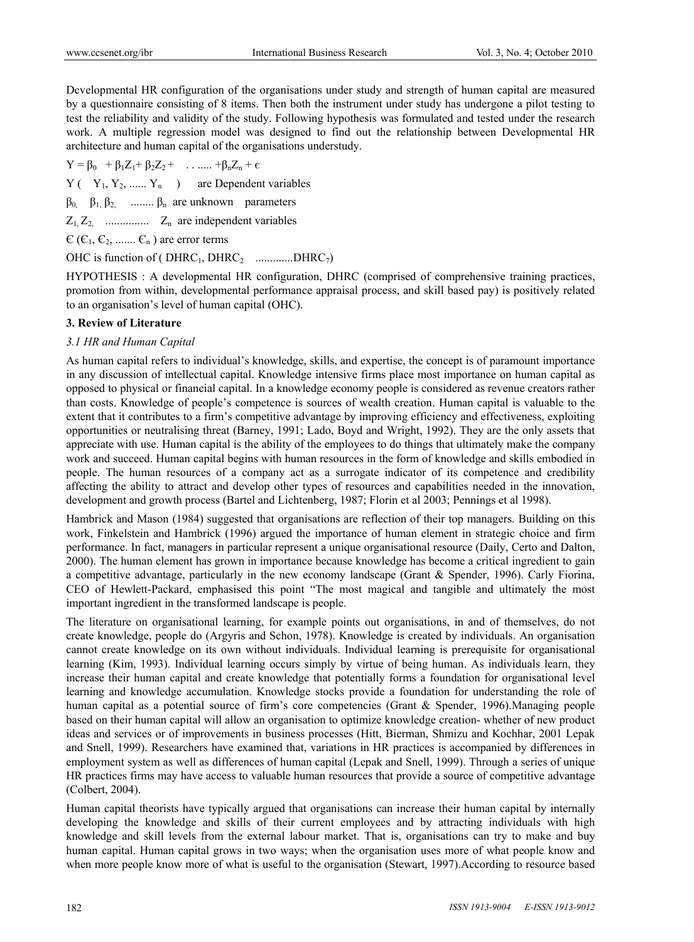Developmental HR configuration of the organisations under study and strength of human capital are measured by a questionnaire consisting of 8 items. Then both the instrument under study has undergone a pilot testing to test the reliability and validity of the study. Following hypothesis was formulated and tested under the research work. A multiple regression model was designed to find out the relationship between Developmental HR architecture and human capital of the organisations understudy.

 $Y = \beta_0 + \beta_1 Z_1 + \beta_2 Z_2 + \dots + \beta_n Z_n + \epsilon$ 

 $Y \left( \begin{array}{cc} Y_1, Y_2, \dots, Y_n \end{array} \right)$  are Dependent variables

 $\beta_0$ ,  $\beta_1$ ,  $\beta_2$ , ........  $\beta_n$  are unknown parameters

 $Z_1, Z_2, \dots, Z_n$  are independent variables

 $\in$  ( $\epsilon_1$ ,  $\epsilon_2$ , .......  $\epsilon_n$ ) are error terms

OHC is function of ( $DHRC<sub>1</sub>$ ,  $DHRC<sub>2</sub>$  .............DHRC<sub>7</sub>)

HYPOTHESIS : A developmental HR configuration, DHRC (comprised of comprehensive training practices, promotion from within, developmental performance appraisal process, and skill based pay) is positively related to an organisation's level of human capital (OHC).

#### **3. Review of Literature**

## *3.1 HR and Human Capital*

As human capital refers to individual's knowledge, skills, and expertise, the concept is of paramount importance in any discussion of intellectual capital. Knowledge intensive firms place most importance on human capital as opposed to physical or financial capital. In a knowledge economy people is considered as revenue creators rather than costs. Knowledge of people's competence is sources of wealth creation. Human capital is valuable to the extent that it contributes to a firm's competitive advantage by improving efficiency and effectiveness, exploiting opportunities or neutralising threat (Barney, 1991; Lado, Boyd and Wright, 1992). They are the only assets that appreciate with use. Human capital is the ability of the employees to do things that ultimately make the company work and succeed. Human capital begins with human resources in the form of knowledge and skills embodied in people. The human resources of a company act as a surrogate indicator of its competence and credibility affecting the ability to attract and develop other types of resources and capabilities needed in the innovation, development and growth process (Bartel and Lichtenberg, 1987; Florin et al 2003; Pennings et al 1998).

Hambrick and Mason (1984) suggested that organisations are reflection of their top managers. Building on this work, Finkelstein and Hambrick (1996) argued the importance of human element in strategic choice and firm performance. In fact, managers in particular represent a unique organisational resource (Daily, Certo and Dalton, 2000). The human element has grown in importance because knowledge has become a critical ingredient to gain a competitive advantage, particularly in the new economy landscape (Grant & Spender, 1996). Carly Fiorina, CEO of Hewlett-Packard, emphasised this point "The most magical and tangible and ultimately the most important ingredient in the transformed landscape is people.

The literature on organisational learning, for example points out organisations, in and of themselves, do not create knowledge, people do (Argyris and Schon, 1978). Knowledge is created by individuals. An organisation cannot create knowledge on its own without individuals. Individual learning is prerequisite for organisational learning (Kim, 1993). Individual learning occurs simply by virtue of being human. As individuals learn, they increase their human capital and create knowledge that potentially forms a foundation for organisational level learning and knowledge accumulation. Knowledge stocks provide a foundation for understanding the role of human capital as a potential source of firm's core competencies (Grant & Spender, 1996).Managing people based on their human capital will allow an organisation to optimize knowledge creation- whether of new product ideas and services or of improvements in business processes (Hitt, Bierman, Shmizu and Kochhar, 2001 Lepak and Snell, 1999). Researchers have examined that, variations in HR practices is accompanied by differences in employment system as well as differences of human capital (Lepak and Snell, 1999). Through a series of unique HR practices firms may have access to valuable human resources that provide a source of competitive advantage (Colbert, 2004).

Human capital theorists have typically argued that organisations can increase their human capital by internally developing the knowledge and skills of their current employees and by attracting individuals with high knowledge and skill levels from the external labour market. That is, organisations can try to make and buy human capital. Human capital grows in two ways; when the organisation uses more of what people know and when more people know more of what is useful to the organisation (Stewart, 1997). According to resource based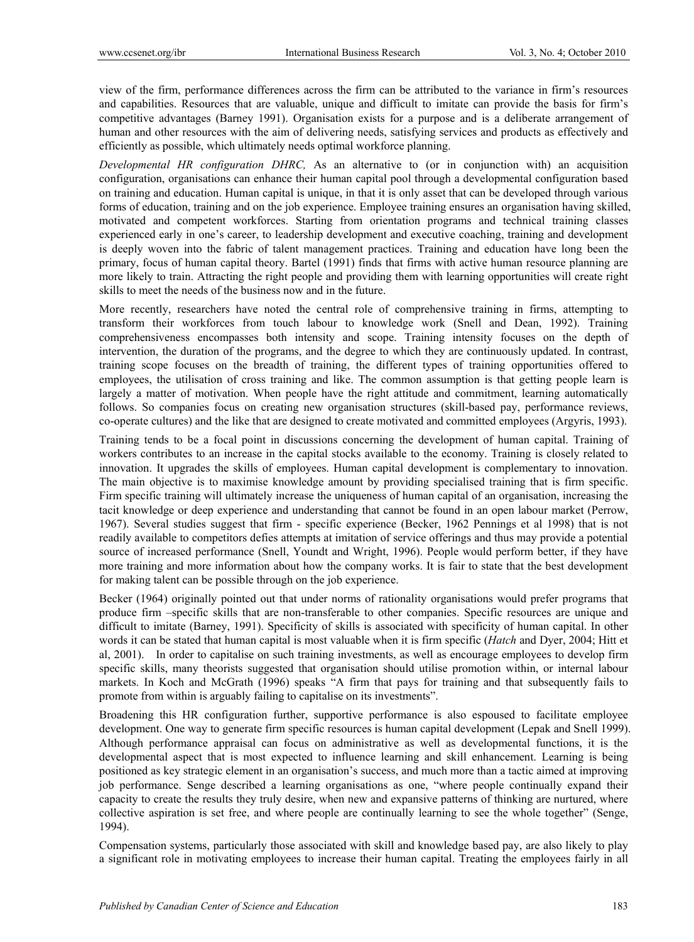view of the firm, performance differences across the firm can be attributed to the variance in firm's resources and capabilities. Resources that are valuable, unique and difficult to imitate can provide the basis for firm's competitive advantages (Barney 1991). Organisation exists for a purpose and is a deliberate arrangement of human and other resources with the aim of delivering needs, satisfying services and products as effectively and efficiently as possible, which ultimately needs optimal workforce planning.

*Developmental HR configuration DHRC,* As an alternative to (or in conjunction with) an acquisition configuration, organisations can enhance their human capital pool through a developmental configuration based on training and education. Human capital is unique, in that it is only asset that can be developed through various forms of education, training and on the job experience. Employee training ensures an organisation having skilled, motivated and competent workforces. Starting from orientation programs and technical training classes experienced early in one's career, to leadership development and executive coaching, training and development is deeply woven into the fabric of talent management practices. Training and education have long been the primary, focus of human capital theory. Bartel (1991) finds that firms with active human resource planning are more likely to train. Attracting the right people and providing them with learning opportunities will create right skills to meet the needs of the business now and in the future.

More recently, researchers have noted the central role of comprehensive training in firms, attempting to transform their workforces from touch labour to knowledge work (Snell and Dean, 1992). Training comprehensiveness encompasses both intensity and scope. Training intensity focuses on the depth of intervention, the duration of the programs, and the degree to which they are continuously updated. In contrast, training scope focuses on the breadth of training, the different types of training opportunities offered to employees, the utilisation of cross training and like. The common assumption is that getting people learn is largely a matter of motivation. When people have the right attitude and commitment, learning automatically follows. So companies focus on creating new organisation structures (skill-based pay, performance reviews, co-operate cultures) and the like that are designed to create motivated and committed employees (Argyris, 1993).

Training tends to be a focal point in discussions concerning the development of human capital. Training of workers contributes to an increase in the capital stocks available to the economy. Training is closely related to innovation. It upgrades the skills of employees. Human capital development is complementary to innovation. The main objective is to maximise knowledge amount by providing specialised training that is firm specific. Firm specific training will ultimately increase the uniqueness of human capital of an organisation, increasing the tacit knowledge or deep experience and understanding that cannot be found in an open labour market (Perrow, 1967). Several studies suggest that firm - specific experience (Becker, 1962 Pennings et al 1998) that is not readily available to competitors defies attempts at imitation of service offerings and thus may provide a potential source of increased performance (Snell, Youndt and Wright, 1996). People would perform better, if they have more training and more information about how the company works. It is fair to state that the best development for making talent can be possible through on the job experience.

Becker (1964) originally pointed out that under norms of rationality organisations would prefer programs that produce firm –specific skills that are non-transferable to other companies. Specific resources are unique and difficult to imitate (Barney, 1991). Specificity of skills is associated with specificity of human capital. In other words it can be stated that human capital is most valuable when it is firm specific (*Hatch* and Dyer, 2004; Hitt et al, 2001). In order to capitalise on such training investments, as well as encourage employees to develop firm specific skills, many theorists suggested that organisation should utilise promotion within, or internal labour markets. In Koch and McGrath (1996) speaks "A firm that pays for training and that subsequently fails to promote from within is arguably failing to capitalise on its investments".

Broadening this HR configuration further, supportive performance is also espoused to facilitate employee development. One way to generate firm specific resources is human capital development (Lepak and Snell 1999). Although performance appraisal can focus on administrative as well as developmental functions, it is the developmental aspect that is most expected to influence learning and skill enhancement. Learning is being positioned as key strategic element in an organisation's success, and much more than a tactic aimed at improving job performance. Senge described a learning organisations as one, "where people continually expand their capacity to create the results they truly desire, when new and expansive patterns of thinking are nurtured, where collective aspiration is set free, and where people are continually learning to see the whole together" (Senge, 1994).

Compensation systems, particularly those associated with skill and knowledge based pay, are also likely to play a significant role in motivating employees to increase their human capital. Treating the employees fairly in all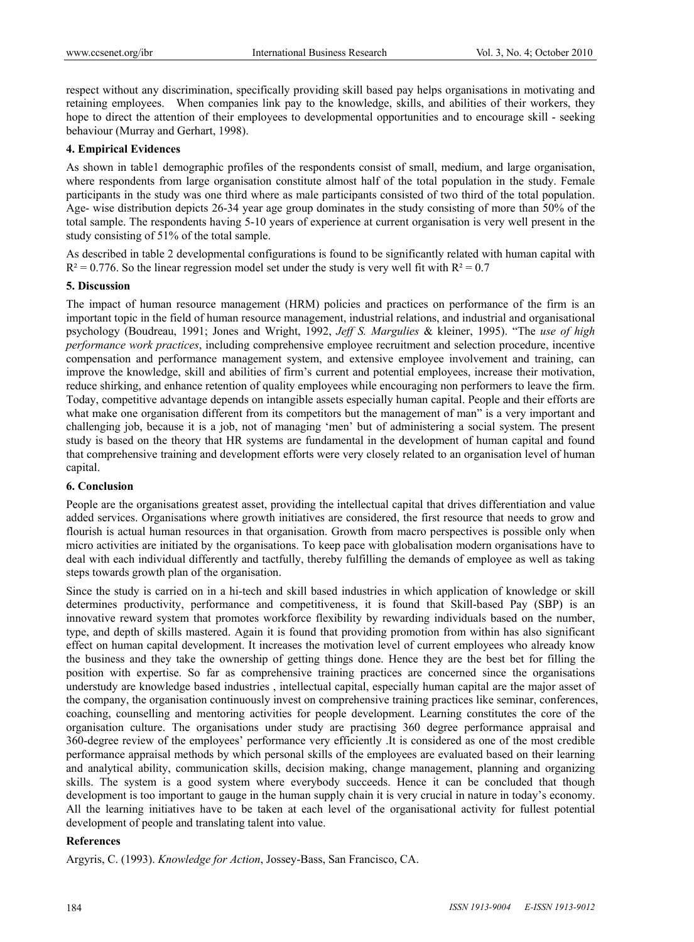respect without any discrimination, specifically providing skill based pay helps organisations in motivating and retaining employees. When companies link pay to the knowledge, skills, and abilities of their workers, they hope to direct the attention of their employees to developmental opportunities and to encourage skill - seeking behaviour (Murray and Gerhart, 1998).

#### **4. Empirical Evidences**

As shown in table1 demographic profiles of the respondents consist of small, medium, and large organisation, where respondents from large organisation constitute almost half of the total population in the study. Female participants in the study was one third where as male participants consisted of two third of the total population. Age- wise distribution depicts 26-34 year age group dominates in the study consisting of more than 50% of the total sample. The respondents having 5-10 years of experience at current organisation is very well present in the study consisting of 51% of the total sample.

As described in table 2 developmental configurations is found to be significantly related with human capital with  $R<sup>2</sup> = 0.776$ . So the linear regression model set under the study is very well fit with  $R<sup>2</sup> = 0.7$ 

#### **5. Discussion**

The impact of human resource management (HRM) policies and practices on performance of the firm is an important topic in the field of human resource management, industrial relations, and industrial and organisational psychology (Boudreau, 1991; Jones and Wright, 1992, *Jeff S. Margulies* & kleiner, 1995). "The *use of high performance work practices*, including comprehensive employee recruitment and selection procedure, incentive compensation and performance management system, and extensive employee involvement and training, can improve the knowledge, skill and abilities of firm's current and potential employees, increase their motivation, reduce shirking, and enhance retention of quality employees while encouraging non performers to leave the firm. Today, competitive advantage depends on intangible assets especially human capital. People and their efforts are what make one organisation different from its competitors but the management of man" is a very important and challenging job, because it is a job, not of managing 'men' but of administering a social system. The present study is based on the theory that HR systems are fundamental in the development of human capital and found that comprehensive training and development efforts were very closely related to an organisation level of human capital.

#### **6. Conclusion**

People are the organisations greatest asset, providing the intellectual capital that drives differentiation and value added services. Organisations where growth initiatives are considered, the first resource that needs to grow and flourish is actual human resources in that organisation. Growth from macro perspectives is possible only when micro activities are initiated by the organisations. To keep pace with globalisation modern organisations have to deal with each individual differently and tactfully, thereby fulfilling the demands of employee as well as taking steps towards growth plan of the organisation.

Since the study is carried on in a hi-tech and skill based industries in which application of knowledge or skill determines productivity, performance and competitiveness, it is found that Skill-based Pay (SBP) is an innovative reward system that promotes workforce flexibility by rewarding individuals based on the number, type, and depth of skills mastered. Again it is found that providing promotion from within has also significant effect on human capital development. It increases the motivation level of current employees who already know the business and they take the ownership of getting things done. Hence they are the best bet for filling the position with expertise. So far as comprehensive training practices are concerned since the organisations understudy are knowledge based industries , intellectual capital, especially human capital are the major asset of the company, the organisation continuously invest on comprehensive training practices like seminar, conferences, coaching, counselling and mentoring activities for people development. Learning constitutes the core of the organisation culture. The organisations under study are practising 360 degree performance appraisal and 360-degree review of the employees' performance very efficiently .It is considered as one of the most credible performance appraisal methods by which personal skills of the employees are evaluated based on their learning and analytical ability, communication skills, decision making, change management, planning and organizing skills. The system is a good system where everybody succeeds. Hence it can be concluded that though development is too important to gauge in the human supply chain it is very crucial in nature in today's economy. All the learning initiatives have to be taken at each level of the organisational activity for fullest potential development of people and translating talent into value.

#### **References**

Argyris, C. (1993). *Knowledge for Action*, Jossey-Bass, San Francisco, CA.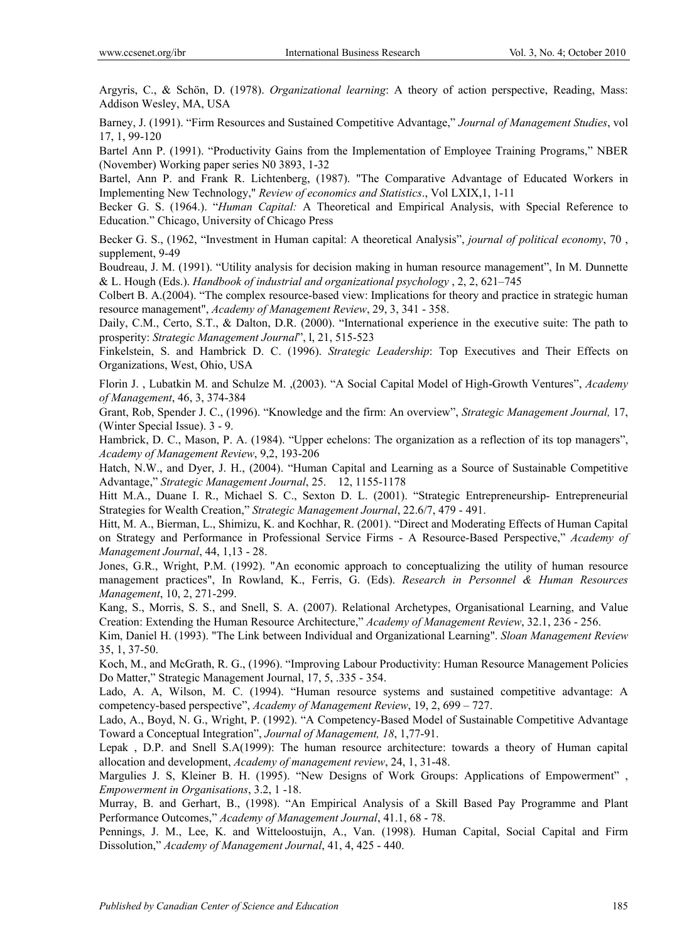Argyris, C., & Schön, D. (1978). *Organizational learning*: A theory of action perspective, Reading, Mass: Addison Wesley, MA, USA

Barney, J. (1991). "Firm Resources and Sustained Competitive Advantage," *Journal of Management Studies*, vol 17, 1, 99-120

Bartel Ann P. (1991). "Productivity Gains from the Implementation of Employee Training Programs," NBER (November) Working paper series N0 3893, 1-32

Bartel, Ann P. and Frank R. Lichtenberg, (1987). "The Comparative Advantage of Educated Workers in Implementing New Technology," *Review of economics and Statistics*., Vol LXIX,1, 1-11

Becker G. S. (1964.). "*Human Capital:* A Theoretical and Empirical Analysis, with Special Reference to Education." Chicago, University of Chicago Press

Becker G. S., (1962, "Investment in Human capital: A theoretical Analysis", *journal of political economy*, 70 , supplement, 9-49

Boudreau, J. M. (1991). "Utility analysis for decision making in human resource management", In M. Dunnette & L. Hough (Eds.). *Handbook of industrial and organizational psychology* , 2, 2, 621–745

Colbert B. A.(2004). "The complex resource-based view: Implications for theory and practice in strategic human resource management", *Academy of Management Review*, 29, 3, 341 - 358.

Daily, C.M., Certo, S.T., & Dalton, D.R. (2000). "International experience in the executive suite: The path to prosperity: *Strategic Management Journal*", l, 21, 515-523

Finkelstein, S. and Hambrick D. C. (1996). *Strategic Leadership*: Top Executives and Their Effects on Organizations, West, Ohio, USA

Florin J. , Lubatkin M. and Schulze M. ,(2003). "A Social Capital Model of High-Growth Ventures", *Academy of Management*, 46, 3, 374-384

Grant, Rob, Spender J. C., (1996). "Knowledge and the firm: An overview", *Strategic Management Journal,* 17, (Winter Special Issue). 3 - 9.

Hambrick, D. C., Mason, P. A. (1984). "Upper echelons: The organization as a reflection of its top managers", *Academy of Management Review*, 9,2, 193-206

Hatch, N.W., and Dyer, J. H., (2004). "Human Capital and Learning as a Source of Sustainable Competitive Advantage," *Strategic Management Journal*, 25. 12, 1155-1178

Hitt M.A., Duane I. R., Michael S. C., Sexton D. L. (2001). "Strategic Entrepreneurship- Entrepreneurial Strategies for Wealth Creation," *Strategic Management Journal*, 22.6/7, 479 - 491.

Hitt, M. A., Bierman, L., Shimizu, K. and Kochhar, R. (2001). "Direct and Moderating Effects of Human Capital on Strategy and Performance in Professional Service Firms - A Resource-Based Perspective," *Academy of Management Journal*, 44, 1,13 - 28.

Jones, G.R., Wright, P.M. (1992). "An economic approach to conceptualizing the utility of human resource management practices", In Rowland, K., Ferris, G. (Eds). *Research in Personnel & Human Resources Management*, 10, 2, 271-299.

Kang, S., Morris, S. S., and Snell, S. A. (2007). Relational Archetypes, Organisational Learning, and Value Creation: Extending the Human Resource Architecture," *Academy of Management Review*, 32.1, 236 - 256.

Kim, Daniel H. (1993). "The Link between Individual and Organizational Learning". *Sloan Management Review* 35, 1, 37-50.

Koch, M., and McGrath, R. G., (1996). "Improving Labour Productivity: Human Resource Management Policies Do Matter," Strategic Management Journal, 17, 5, .335 - 354.

Lado, A. A, Wilson, M. C. (1994). "Human resource systems and sustained competitive advantage: A competency-based perspective", *Academy of Management Review*, 19, 2, 699 – 727.

Lado, A., Boyd, N. G., Wright, P. (1992). "A Competency-Based Model of Sustainable Competitive Advantage Toward a Conceptual Integration", *Journal of Management, 18*, 1,77-91.

Lepak , D.P. and Snell S.A(1999): The human resource architecture: towards a theory of Human capital allocation and development, *Academy of management review*, 24, 1, 31-48.

Margulies J. S. Kleiner B. H. (1995). "New Designs of Work Groups: Applications of Empowerment", *Empowerment in Organisations*, 3.2, 1 -18.

Murray, B. and Gerhart, B., (1998). "An Empirical Analysis of a Skill Based Pay Programme and Plant Performance Outcomes," *Academy of Management Journal*, 41.1, 68 - 78.

Pennings, J. M., Lee, K. and Witteloostuijn, A., Van. (1998). Human Capital, Social Capital and Firm Dissolution," *Academy of Management Journal*, 41, 4, 425 - 440.